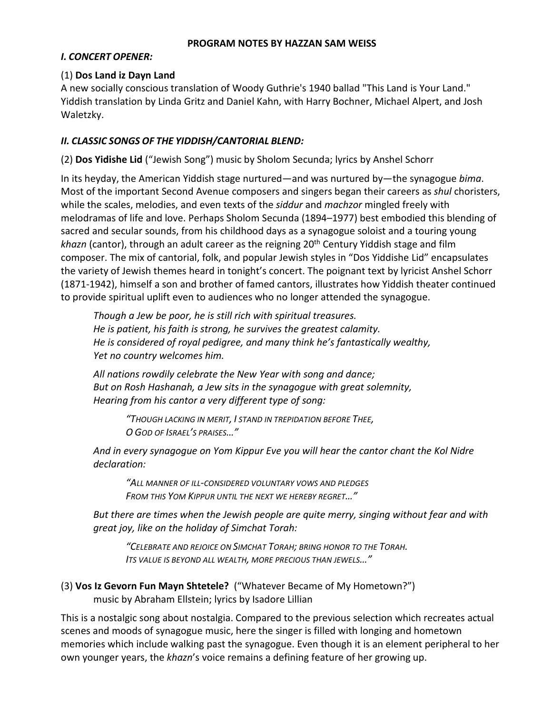#### **PROGRAM NOTES BY HAZZAN SAM WEISS**

#### *I. CONCERT OPENER:*

### (1) **Dos Land iz Dayn Land**

A new socially conscious translation of Woody Guthrie's 1940 ballad "This Land is Your Land." Yiddish translation by Linda Gritz and Daniel Kahn, with Harry Bochner, Michael Alpert, and Josh Waletzky.

### *II. CLASSIC SONGS OF THE YIDDISH/CANTORIAL BLEND:*

(2) **Dos Yidishe Lid** ("Jewish Song") music by Sholom Secunda; lyrics by Anshel Schorr

In its heyday, the American Yiddish stage nurtured—and was nurtured by—the synagogue *bima*. Most of the important Second Avenue composers and singers began their careers as *shul* choristers, while the scales, melodies, and even texts of the *siddur* and *machzor* mingled freely with melodramas of life and love. Perhaps Sholom Secunda (1894–1977) best embodied this blending of sacred and secular sounds, from his childhood days as a synagogue soloist and a touring young khazn (cantor), through an adult career as the reigning 20<sup>th</sup> Century Yiddish stage and film composer. The mix of cantorial, folk, and popular Jewish styles in "Dos Yiddishe Lid" encapsulates the variety of Jewish themes heard in tonight's concert. The poignant text by lyricist Anshel Schorr (1871-1942), himself a son and brother of famed cantors, illustrates how Yiddish theater continued to provide spiritual uplift even to audiences who no longer attended the synagogue.

*Though a Jew be poor, he is still rich with spiritual treasures. He is patient, his faith is strong, he survives the greatest calamity. He is considered of royal pedigree, and many think he's fantastically wealthy, Yet no country welcomes him.*

*All nations rowdily celebrate the New Year with song and dance; But on Rosh Hashanah, a Jew sits in the synagogue with great solemnity, Hearing from his cantor a very different type of song:*

> *"THOUGH LACKING IN MERIT, I STAND IN TREPIDATION BEFORE THEE, O GOD OF ISRAEL'S PRAISES…"*

*And in every synagogue on Yom Kippur Eve you will hear the cantor chant the Kol Nidre declaration:*

*"ALL MANNER OF ILL-CONSIDERED VOLUNTARY VOWS AND PLEDGES FROM THIS YOM KIPPUR UNTIL THE NEXT WE HEREBY REGRET…"*

*But there are times when the Jewish people are quite merry, singing without fear and with great joy, like on the holiday of Simchat Torah:*

*"CELEBRATE AND REJOICE ON SIMCHAT TORAH; BRING HONOR TO THE TORAH. ITS VALUE IS BEYOND ALL WEALTH, MORE PRECIOUS THAN JEWELS…"*

```
(3) Vos Iz Gevorn Fun Mayn Shtetele? ("Whatever Became of My Hometown?") 
music by Abraham Ellstein; lyrics by Isadore Lillian
```
This is a nostalgic song about nostalgia. Compared to the previous selection which recreates actual scenes and moods of synagogue music, here the singer is filled with longing and hometown memories which include walking past the synagogue. Even though it is an element peripheral to her own younger years, the *khazn*'s voice remains a defining feature of her growing up.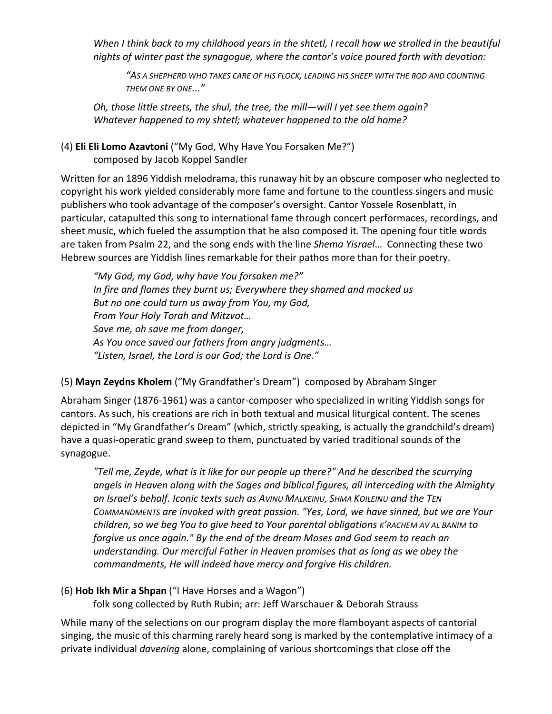*When I think back to my childhood years in the shtetl, I recall how we strolled in the beautiful nights of winter past the synagogue, where the cantor's voice poured forth with devotion:*

*"AS A SHEPHERD WHO TAKES CARE OF HIS FLOCK, LEADING HIS SHEEP WITH THE ROD AND COUNTING THEM ONE BY ONE..."*

*Oh, those little streets, the shul, the tree, the mill—will I yet see them again? Whatever happened to my shtetl; whatever happened to the old home?*

#### (4) **Eli Eli Lomo Azavtoni** ("My God, Why Have You Forsaken Me?") composed by Jacob Koppel Sandler

Written for an 1896 Yiddish melodrama, this runaway hit by an obscure composer who neglected to copyright his work yielded considerably more fame and fortune to the countless singers and music publishers who took advantage of the composer's oversight. Cantor Yossele Rosenblatt, in particular, catapulted this song to international fame through concert performaces, recordings, and sheet music, which fueled the assumption that he also composed it. The opening four title words are taken from Psalm 22, and the song ends with the line *Shema Yisrael*… Connecting these two Hebrew sources are Yiddish lines remarkable for their pathos more than for their poetry.

*"My God, my God, why have You forsaken me?" In fire and flames they burnt us; Everywhere they shamed and mocked us But no one could turn us away from You, my God, From Your Holy Torah and Mitzvot… Save me, oh save me from danger, As You once saved our fathers from angry judgments… "Listen, Israel, the Lord is our God; the Lord is One."*

# (5) **Mayn Zeydns Kholem** ("My Grandfather's Dream") composed by Abraham SInger

Abraham Singer (1876-1961) was a cantor-composer who specialized in writing Yiddish songs for cantors. As such, his creations are rich in both textual and musical liturgical content. The scenes depicted in "My Grandfather's Dream" (which, strictly speaking, is actually the grandchild's dream) have a quasi-operatic grand sweep to them, punctuated by varied traditional sounds of the synagogue.

*"Tell me, Zeyde, what is it like for our people up there?" And he described the scurrying angels in Heaven along with the Sages and biblical figures, all interceding with the Almighty on Israel's behalf. Iconic texts such as AVINU MALKEINU, SHMA KOILEINU and the TEN COMMANDMENTS are invoked with great passion. "Yes, Lord, we have sinned, but we are Your children, so we beg You to give heed to Your parental obligations K'RACHEM AV AL BANIM to forgive us once again." By the end of the dream Moses and God seem to reach an understanding. Our merciful Father in Heaven promises that as long as we obey the commandments, He will indeed have mercy and forgive His children.*

# (6) **Hob Ikh Mir a Shpan** ("I Have Horses and a Wagon")

folk song collected by Ruth Rubin; arr: Jeff Warschauer & Deborah Strauss

While many of the selections on our program display the more flamboyant aspects of cantorial singing, the music of this charming rarely heard song is marked by the contemplative intimacy of a private individual *davening* alone, complaining of various shortcomings that close off the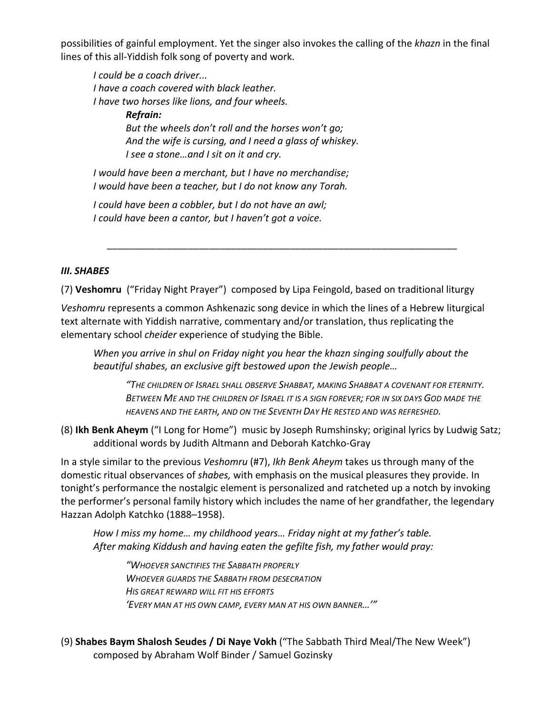possibilities of gainful employment. Yet the singer also invokes the calling of the *khazn* in the final lines of this all-Yiddish folk song of poverty and work.

*I could be a coach driver... I have a coach covered with black leather. I have two horses like lions, and four wheels. Refrain: But the wheels don't roll and the horses won't go; And the wife is cursing, and I need a glass of whiskey. I see a stone…and I sit on it and cry.* 

*I would have been a merchant, but I have no merchandise; I would have been a teacher, but I do not know any Torah.* 

*I could have been a cobbler, but I do not have an awl; I could have been a cantor, but I haven't got a voice.* 

### *III. SHABES*

(7) **Veshomru** ("Friday Night Prayer") composed by Lipa Feingold, based on traditional liturgy

\_\_\_\_\_\_\_\_\_\_\_\_\_\_\_\_\_\_\_\_\_\_\_\_\_\_\_\_\_\_\_\_\_\_\_\_\_\_\_\_\_\_\_\_\_\_\_\_\_\_\_\_\_\_\_\_\_\_\_\_\_\_\_\_\_

*Veshomru* represents a common Ashkenazic song device in which the lines of a Hebrew liturgical text alternate with Yiddish narrative, commentary and/or translation, thus replicating the elementary school *cheider* experience of studying the Bible.

*When you arrive in shul on Friday night you hear the khazn singing soulfully about the beautiful shabes, an exclusive gift bestowed upon the Jewish people…*

*"THE CHILDREN OF ISRAEL SHALL OBSERVE SHABBAT, MAKING SHABBAT A COVENANT FOR ETERNITY. BETWEEN ME AND THE CHILDREN OF ISRAEL IT IS A SIGN FOREVER; FOR IN SIX DAYS GOD MADE THE HEAVENS AND THE EARTH, AND ON THE SEVENTH DAY HE RESTED AND WAS REFRESHED.*

(8) **Ikh Benk Aheym** ("I Long for Home") music by Joseph Rumshinsky; original lyrics by Ludwig Satz; additional words by Judith Altmann and Deborah Katchko-Gray

In a style similar to the previous *Veshomru* (#7), *Ikh Benk Aheym* takes us through many of the domestic ritual observances of *shabes,* with emphasis on the musical pleasures they provide. In tonight's performance the nostalgic element is personalized and ratcheted up a notch by invoking the performer's personal family history which includes the name of her grandfather, the legendary Hazzan Adolph Katchko (1888–1958).

*How I miss my home… my childhood years… Friday night at my father's table. After making Kiddush and having eaten the gefilte fish, my father would pray:*

*"WHOEVER SANCTIFIES THE SABBATH PROPERLY WHOEVER GUARDS THE SABBATH FROM DESECRATION HIS GREAT REWARD WILL FIT HIS EFFORTS 'EVERY MAN AT HIS OWN CAMP, EVERY MAN AT HIS OWN BANNER…'"*

(9) **Shabes Baym Shalosh Seudes / Di Naye Vokh** ("The Sabbath Third Meal/The New Week") composed by Abraham Wolf Binder / Samuel Gozinsky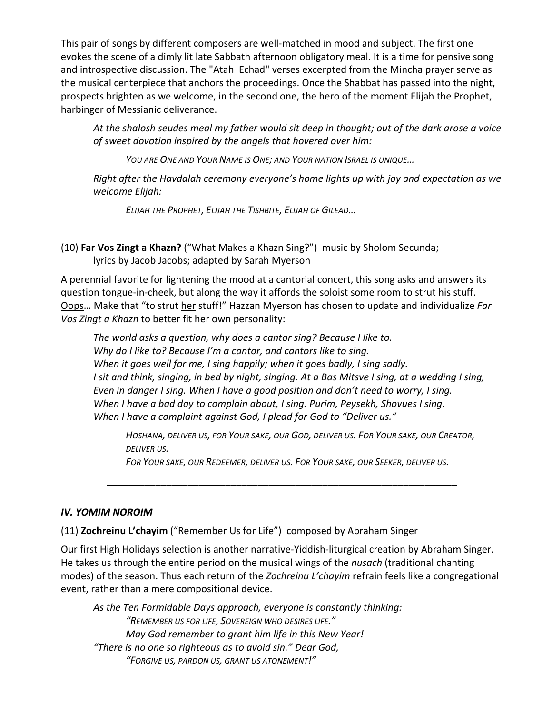This pair of songs by different composers are well-matched in mood and subject. The first one evokes the scene of a dimly lit late Sabbath afternoon obligatory meal. It is a time for pensive song and introspective discussion. The "Atah Echad" verses excerpted from the Mincha prayer serve as the musical centerpiece that anchors the proceedings. Once the Shabbat has passed into the night, prospects brighten as we welcome, in the second one, the hero of the moment Elijah the Prophet, harbinger of Messianic deliverance.

*At the shalosh seudes meal my father would sit deep in thought; out of the dark arose a voice of sweet dovotion inspired by the angels that hovered over him:*

*YOU ARE ONE AND YOUR NAME IS ONE; AND YOUR NATION ISRAEL IS UNIQUE…*

*Right after the Havdalah ceremony everyone's home lights up with joy and expectation as we welcome Elijah:*

*ELIJAH THE PROPHET, ELIJAH THE TISHBITE, ELIJAH OF GILEAD…*

(10) **Far Vos Zingt a Khazn?** ("What Makes a Khazn Sing?") music by Sholom Secunda; lyrics by Jacob Jacobs; adapted by Sarah Myerson

A perennial favorite for lightening the mood at a cantorial concert, this song asks and answers its question tongue-in-cheek, but along the way it affords the soloist some room to strut his stuff. Oops… Make that "to strut her stuff!" Hazzan Myerson has chosen to update and individualize *Far Vos Zingt a Khazn* to better fit her own personality:

*The world asks a question, why does a cantor sing? Because I like to. Why do I like to? Because I'm a cantor, and cantors like to sing. When it goes well for me, I sing happily; when it goes badly, I sing sadly. I sit and think, singing, in bed by night, singing. At a Bas Mitsve I sing, at a wedding I sing, Even in danger I sing. When I have a good position and don't need to worry, I sing. When I have a bad day to complain about, I sing. Purim, Peysekh, Shovues I sing. When I have a complaint against God, I plead for God to "Deliver us."*

*HOSHANA, DELIVER US, FOR YOUR SAKE, OUR GOD, DELIVER US. FOR YOUR SAKE, OUR CREATOR, DELIVER US.*

*FOR YOUR SAKE, OUR REDEEMER, DELIVER US. FOR YOUR SAKE, OUR SEEKER, DELIVER US.*

\_\_\_\_\_\_\_\_\_\_\_\_\_\_\_\_\_\_\_\_\_\_\_\_\_\_\_\_\_\_\_\_\_\_\_\_\_\_\_\_\_\_\_\_\_\_\_\_\_\_\_\_\_\_\_\_\_\_\_\_\_\_\_\_\_

# *IV. YOMIM NOROIM*

(11) **Zochreinu L'chayim** ("Remember Us for Life") composed by Abraham Singer

Our first High Holidays selection is another narrative-Yiddish-liturgical creation by Abraham Singer. He takes us through the entire period on the musical wings of the *nusach* (traditional chanting modes) of the season. Thus each return of the *Zochreinu L'chayim* refrain feels like a congregational event, rather than a mere compositional device.

*As the Ten Formidable Days approach, everyone is constantly thinking: "REMEMBER US FOR LIFE, SOVEREIGN WHO DESIRES LIFE." May God remember to grant him life in this New Year! "There is no one so righteous as to avoid sin." Dear God, "FORGIVE US, PARDON US, GRANT US ATONEMENT!"*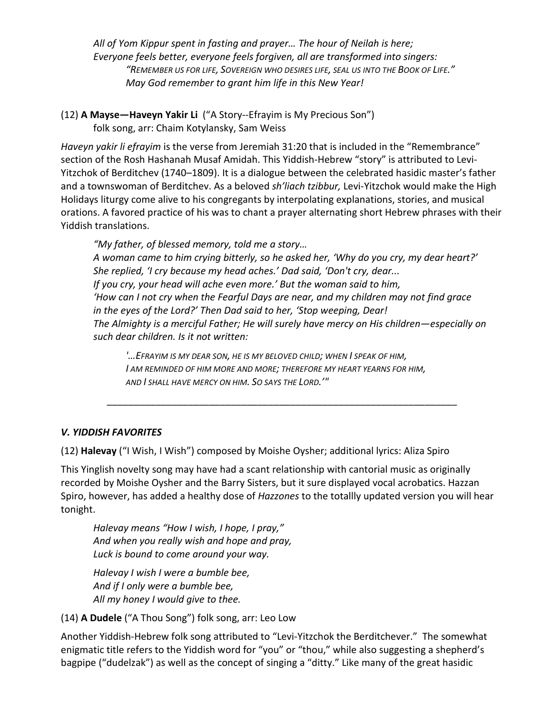*All of Yom Kippur spent in fasting and prayer… The hour of Neilah is here; Everyone feels better, everyone feels forgiven, all are transformed into singers: "REMEMBER US FOR LIFE, SOVEREIGN WHO DESIRES LIFE, SEAL US INTO THE BOOK OF LIFE." May God remember to grant him life in this New Year!*

(12) **A Mayse—Haveyn Yakir Li** ("A Story--Efrayim is My Precious Son") folk song, arr: Chaim Kotylansky, Sam Weiss

*Haveyn yakir li efrayim* is the verse from Jeremiah 31:20 that is included in the "Remembrance" section of the Rosh Hashanah Musaf Amidah. This Yiddish-Hebrew "story" is attributed to Levi-Yitzchok of Berditchev (1740–1809). It is a dialogue between the celebrated hasidic master's father and a townswoman of Berditchev. As a beloved *sh'liach tzibbur,* Levi-Yitzchok would make the High Holidays liturgy come alive to his congregants by interpolating explanations, stories, and musical orations. A favored practice of his was to chant a prayer alternating short Hebrew phrases with their Yiddish translations.

*"My father, of blessed memory, told me a story… A woman came to him crying bitterly, so he asked her, 'Why do you cry, my dear heart?' She replied, 'I cry because my head aches.' Dad said, 'Don't cry, dear... If you cry, your head will ache even more.' But the woman said to him, 'How can I not cry when the Fearful Days are near, and my children may not find grace in the eyes of the Lord?' Then Dad said to her, 'Stop weeping, Dear! The Almighty is a merciful Father; He will surely have mercy on His children—especially on such dear children. Is it not written:* 

*'…EFRAYIM IS MY DEAR SON, HE IS MY BELOVED CHILD; WHEN I SPEAK OF HIM, I AM REMINDED OF HIM MORE AND MORE; THEREFORE MY HEART YEARNS FOR HIM, AND I SHALL HAVE MERCY ON HIM. SO SAYS THE LORD.'"*

\_\_\_\_\_\_\_\_\_\_\_\_\_\_\_\_\_\_\_\_\_\_\_\_\_\_\_\_\_\_\_\_\_\_\_\_\_\_\_\_\_\_\_\_\_\_\_\_\_\_\_\_\_\_\_\_\_\_\_\_\_\_\_\_\_

### *V. YIDDISH FAVORITES*

(12) **Halevay** ("I Wish, I Wish") composed by Moishe Oysher; additional lyrics: Aliza Spiro

This Yinglish novelty song may have had a scant relationship with cantorial music as originally recorded by Moishe Oysher and the Barry Sisters, but it sure displayed vocal acrobatics. Hazzan Spiro, however, has added a healthy dose of *Hazzones* to the totallly updated version you will hear tonight.

*Halevay means "How I wish, I hope, I pray," And when you really wish and hope and pray, Luck is bound to come around your way.*

*Halevay I wish I were a bumble bee, And if I only were a bumble bee, All my honey I would give to thee.*

(14) **A Dudele** ("A Thou Song") folk song, arr: Leo Low

Another Yiddish-Hebrew folk song attributed to "Levi-Yitzchok the Berditchever." The somewhat enigmatic title refers to the Yiddish word for "you" or "thou," while also suggesting a shepherd's bagpipe ("dudelzak") as well as the concept of singing a "ditty." Like many of the great hasidic